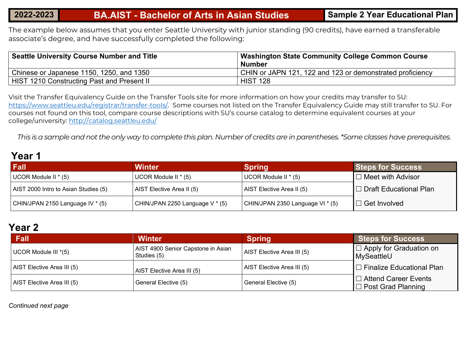The example below assumes that you enter Seattle University with junior standing (90 credits), have earned a transferable associate's degree, and have successfully completed the following:

| Seattle University Course Number and Title | <b>Washington State Community College Common Course</b>   |  |
|--------------------------------------------|-----------------------------------------------------------|--|
|                                            | <b>Number</b>                                             |  |
| Chinese or Japanese 1150, 1250, and 1350   | CHIN or JAPN 121, 122 and 123 or demonstrated proficiency |  |
| HIST 1210 Constructing Past and Present II | <b>HIST 128</b>                                           |  |

Visit the Transfer Equivalency Guide on the Transfer Tools site for more information on how your credits may transfer to SU: [https://www.seattleu.edu/registrar/transfer-tools/.](https://www.seattleu.edu/registrar/transfer-tools/) Some courses not listed on the Transfer Equivalency Guide may still transfer to SU. For courses not found on this tool, compare course descriptions with SU's course catalog to determine equivalent courses at your college/university:<http://catalog.seattleu.edu/>

*This is a sample and not the only way to complete this plan. Number of credits are in parentheses. \*Some classes have prerequisites.*

### **Year 1**

| Fall                                 | <b>Winter</b>                   | <b>Spring</b>                      | <b>Steps for Success</b> |
|--------------------------------------|---------------------------------|------------------------------------|--------------------------|
| UCOR Module II $*(5)$                | UCOR Module II $*(5)$           | UCOR Module II * (5)               | $\Box$ Meet with Advisor |
| AIST 2000 Intro to Asian Studies (5) | AIST Elective Area II (5)       | AIST Elective Area II (5)          | □ Draft Educational Plan |
| CHIN/JPAN 2150 Language IV * (5)     | CHIN/JPAN 2250 Language V * (5) | CHIN/JPAN 2350 Language VI $*$ (5) | $\Box$ Get Involved      |

### **Year 2**

| Fall                       | <b>Winter</b>                                     | <b>Spring</b>              | <b>Steps for Success</b>                                 |
|----------------------------|---------------------------------------------------|----------------------------|----------------------------------------------------------|
| UCOR Module III *(5)       | AIST 4900 Senior Capstone in Asian<br>Studies (5) | AIST Elective Area III (5) | $\Box$ Apply for Graduation on<br>MySeattleU             |
| AIST Elective Area III (5) | AIST Elective Area III (5)                        | AIST Elective Area III (5) | $\Box$ Finalize Educational Plan                         |
| AIST Elective Area III (5) | General Elective (5)                              | General Elective (5)       | $\Box$ Attend Career Events<br>$\Box$ Post Grad Planning |

*Continued next page*